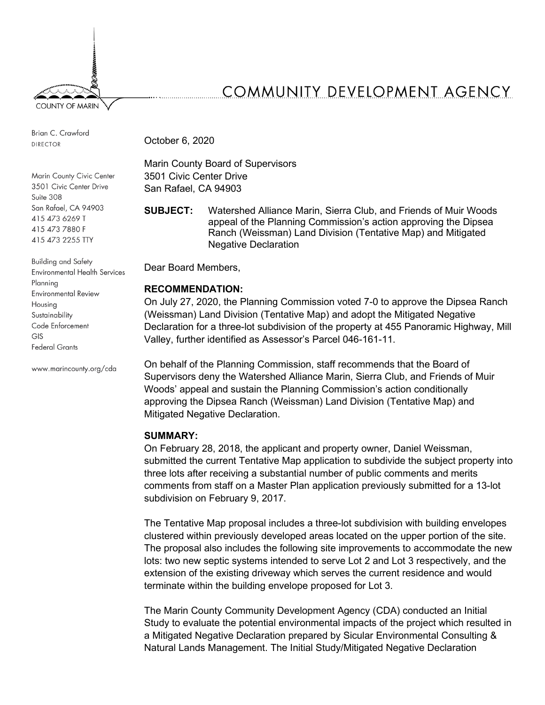

Brian C. Crawford **DIRECTOR** 

Marin County Civic Center 3501 Civic Center Drive Suite 308 San Rafael, CA 94903 415 473 6269 T 415 473 7880 F 415 473 2255 TTY

**Building and Safety Environmental Health Services** Planning **Environmental Review** Housing Sustainability Code Enforcement  $GIS$ **Federal Grants** 

www.marincounty.org/cda

# COMMUNITY DEVELOPMENT AGENCY

October 6, 2020

Marin County Board of Supervisors 3501 Civic Center Drive San Rafael, CA 94903

**SUBJECT:** Watershed Alliance Marin, Sierra Club, and Friends of Muir Woods appeal of the Planning Commission's action approving the Dipsea Ranch (Weissman) Land Division (Tentative Map) and Mitigated Negative Declaration

Dear Board Members,

## **RECOMMENDATION:**

On July 27, 2020, the Planning Commission voted 7-0 to approve the Dipsea Ranch (Weissman) Land Division (Tentative Map) and adopt the Mitigated Negative Declaration for a three-lot subdivision of the property at 455 Panoramic Highway, Mill Valley, further identified as Assessor's Parcel 046-161-11.

On behalf of the Planning Commission, staff recommends that the Board of Supervisors deny the Watershed Alliance Marin, Sierra Club, and Friends of Muir Woods' appeal and sustain the Planning Commission's action conditionally approving the Dipsea Ranch (Weissman) Land Division (Tentative Map) and Mitigated Negative Declaration.

## **SUMMARY:**

On February 28, 2018, the applicant and property owner, Daniel Weissman, submitted the current Tentative Map application to subdivide the subject property into three lots after receiving a substantial number of public comments and merits comments from staff on a Master Plan application previously submitted for a 13-lot subdivision on February 9, 2017.

The Tentative Map proposal includes a three-lot subdivision with building envelopes clustered within previously developed areas located on the upper portion of the site. The proposal also includes the following site improvements to accommodate the new lots: two new septic systems intended to serve Lot 2 and Lot 3 respectively, and the extension of the existing driveway which serves the current residence and would terminate within the building envelope proposed for Lot 3.

The Marin County Community Development Agency (CDA) conducted an Initial Study to evaluate the potential environmental impacts of the project which resulted in a Mitigated Negative Declaration prepared by Sicular Environmental Consulting & Natural Lands Management. The Initial Study/Mitigated Negative Declaration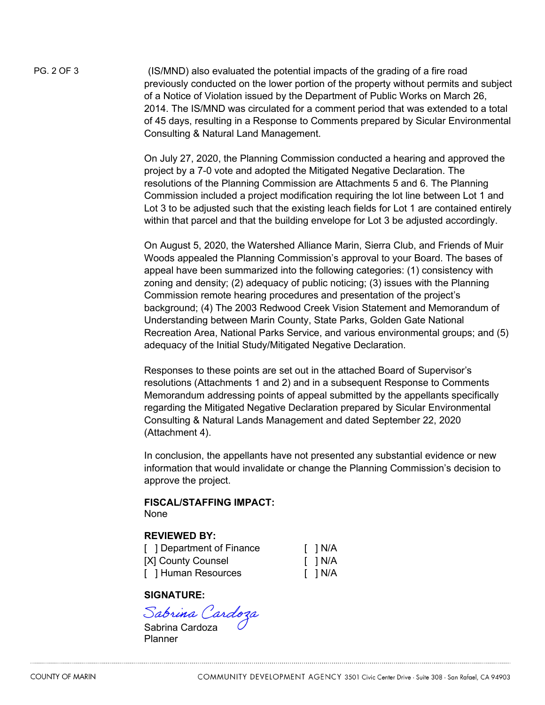PG. 2 OF 3 (IS/MND) also evaluated the potential impacts of the grading of a fire road previously conducted on the lower portion of the property without permits and subject of a Notice of Violation issued by the Department of Public Works on March 26, 2014. The IS/MND was circulated for a comment period that was extended to a total of 45 days, resulting in a Response to Comments prepared by Sicular Environmental Consulting & Natural Land Management.

> On July 27, 2020, the Planning Commission conducted a hearing and approved the project by a 7-0 vote and adopted the Mitigated Negative Declaration. The resolutions of the Planning Commission are Attachments 5 and 6. The Planning Commission included a project modification requiring the lot line between Lot 1 and Lot 3 to be adjusted such that the existing leach fields for Lot 1 are contained entirely within that parcel and that the building envelope for Lot 3 be adjusted accordingly.

> On August 5, 2020, the Watershed Alliance Marin, Sierra Club, and Friends of Muir Woods appealed the Planning Commission's approval to your Board. The bases of appeal have been summarized into the following categories: (1) consistency with zoning and density; (2) adequacy of public noticing; (3) issues with the Planning Commission remote hearing procedures and presentation of the project's background; (4) The 2003 Redwood Creek Vision Statement and Memorandum of Understanding between Marin County, State Parks, Golden Gate National Recreation Area, National Parks Service, and various environmental groups; and (5) adequacy of the Initial Study/Mitigated Negative Declaration.

Responses to these points are set out in the attached Board of Supervisor's resolutions (Attachments 1 and 2) and in a subsequent Response to Comments Memorandum addressing points of appeal submitted by the appellants specifically regarding the Mitigated Negative Declaration prepared by Sicular Environmental Consulting & Natural Lands Management and dated September 22, 2020 (Attachment 4).

In conclusion, the appellants have not presented any substantial evidence or new information that would invalidate or change the Planning Commission's decision to approve the project.

#### **FISCAL/STAFFING IMPACT:**  None

## **REVIEWED BY:**

| [ ] Department of Finance | $\Box$ N/A |
|---------------------------|------------|
| [X] County Counsel        | $\Box$ N/A |
| [ ] Human Resources       | $\Box$ N/A |

## **SIGNATURE:**

S*abrina Cardoza*<br>Sabrina Cardoza

Planner